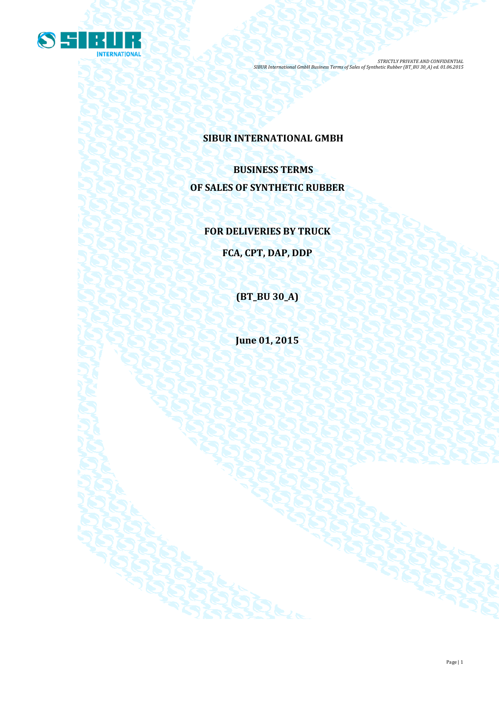

# **SIBUR INTERNATIONAL GMBH**

**BUSINESS TERMS OF SALES OF SYNTHETIC RUBBER**

# **FOR DELIVERIES BY TRUCK**

**FCA, CPT, DAP, DDP**

**(BT\_BU 30\_A)**

**June 01, 2015**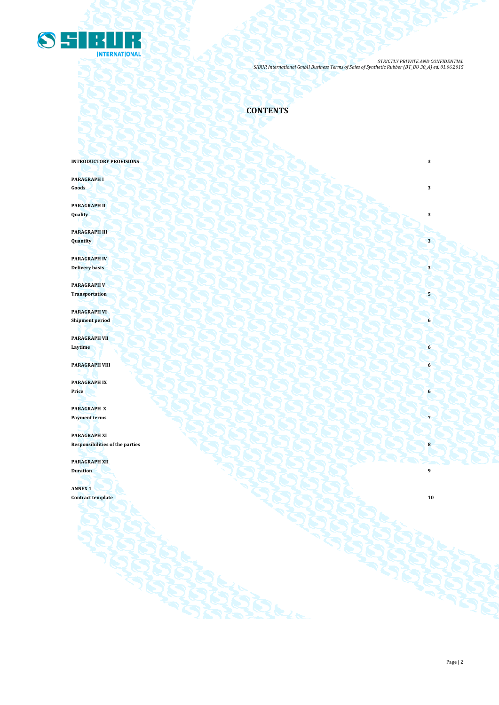

# **CONTENTS**

## **INTRODUCTORY PROVISIONS**

**PARAGRAPH I Goods 3**

**PARAGRAPH II Quality 3**

**PARAGRAPH III Quantity 3**

**PARAGRAPH IV Delivery basis 3**

**PARAGRAPH V Transportation** 

**PARAGRAPH VI Shipment period** 6

**PARAGRAPH VII Laytime 6**

**PARAGRAPH VIII 6** 

**PARAGRAPH IX Price 6**

**PARAGRAPH X Payment terms 7** 

**PARAGRAPH XI Responsibilities of the parties 8**

**PARAGRAPH XII Duration 9** 

**ANNEX 1**

**Contract template 10**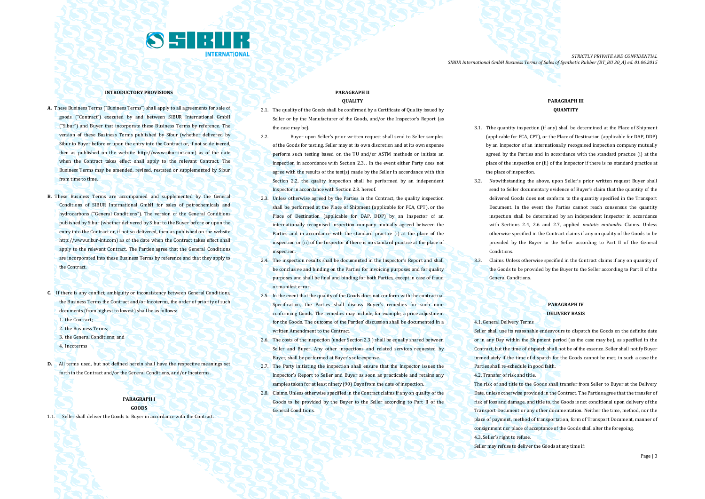

#### **INTRODUCTORY PROVISIONS**

- **A.** These Business Terms ("Business Terms") shall apply to all agreements for sale of goods ("Contract") executed by and between SIBUR International GmbH ("Sibur") and Buyer that incorporate these Business Terms by reference. The version of these Business Terms published by Sibur (whether delivered by Sibur to Buyer before or upon the entry into the Contract or, if not so delivered, then as published on the website [http://www.sibur-int.com\)](http://www.sibur-int.com/) as of the date when the Contract takes effect shall apply to the relevant Contract. The Business Terms may be amended, revised, restated or supplemented by Sibur from time to time.
- **B.** These Business Terms are accompanied and supplemented by the General Conditions of SIBUR International GmbH for sales of petrochemicals and hydrocarbons ("General Conditions"). The version of the General Conditions published by Sibur (whether delivered by Sibur to the Buyer before or upon the entry into the Contract or, if not so delivered, then as published on the website [http://www.sibur-int.com\)](http://www.sibur-int.com/) as of the date when the Contract takes effect shall apply to the relevant Contract. The Parties agree that the General Conditions are incorporated into these Business Terms by reference and that they apply to the Contract.
- **C.** If there is any conflict, ambiguity or inconsistency between General Conditions, the Business Terms the Contract and/or Incoterms, the order of priority of such documents (from highest to lowest) shall be as follows:
	- 1. the Contract:
	- 2. the Business Terms;
	- 3. the General Conditions; and
	- 4. Incoterms
- **D.** All terms used, but not defined herein shall have the respective meanings set forth in the Contract and/or the General Conditions, and/or Incoterms.

#### **PARAGRAPH I GOODS**

1.1. Seller shall deliver the Goods to Buyer in accordance with the Contract.

#### **PARAGRAPH II QUALITY**

- 2.1. The quality of the Goods shall be confirmed by a Certificate of Quality issued by Seller or by the Manufacturer of the Goods, and/or the Inspector's Report (as the case may be).
- 2.2. Buyer upon Seller's prior written request shall send to Seller samples of the Goods for testing. Seller may at its own discretion and at its own expense perform such testing based on the TU and/or ASTM methods or initiate an inspection in accordance with Section 2.3. . In the event either Party does not agree with the results of the test(s) made by the Seller in accordance with this Section 2.2, the quality inspection shall be performed by an independent Inspector in accordance with Section 2.3. hereof.
- 2.3. Unless otherwise agreed by the Parties in the Contract, the quality inspection shall be performed at the Place of Shipment (applicable for FCA, CPT), or the Place of Destination (applicable for DAP, DDP) by an Inspector of an internationally recognised inspection company mutually agreed between the Parties and in accordance with the standard practice (i) at the place of the inspection or (ii) of the Inspector if there is no standard practice at the place of inspection.
- 2.4. The inspection results shall be documented in the Inspector's Report and shall be conclusive and binding on the Parties for invoicing purposes and for quality purposes and shall be final and binding for both Parties, except in case of fraud or manifest error.
- 2.5. In the event that the quality of the Goods does not conform with the contractual Specification, the Parties shall discuss Buyer's remedies for such nonconforming Goods. The remedies may include, for example, a price adjustment for the Goods. The outcome of the Parties' discussion shall be documented in a written Amendment to the Contract.
- 2.6. The costs of the inspection (under Section 2.3 ) shall be equally shared between Seller and Buyer. Any other inspections and related services requested by Buyer, shall be performed at Buyer's sole expense.
- 2.7. The Party initiating the inspection shall ensure that the Inspector issues the Inspector's Report to Seller and Buyer as soon as practicable and retains any samples taken for at least ninety (90) Days from the date of inspection.
- 2.8. Claims. Unless otherwise specified in the Contract claims if any on quality of the Goods to be provided by the Buyer to the Seller according to Part II of the General Conditions.

#### **PARAGRAPH III QUANTITY**

- 3.1. Tthe quantity inspection (if any) shall be determined at the Place of Shipment (applicable for FCA, CPT), or the Place of Destination (applicable for DAP, DDP) by an Inspector of an internationally recognised inspection company mutually agreed by the Parties and in accordance with the standard practice (i) at the place of the inspection or (ii) of the Inspector if there is no standard practice at the place of inspection.
- 3.2. Notwithstanding the above, upon Seller's prior written request Buyer shall send to Seller documentary evidence of Buyer's claim that the quantity of the delivered Goods does not conform to the quantity specified in the Transport Document. In the event the Parties cannot reach consensus the quantity inspection shall be determined by an independent Inspector in accordance with Sections 2.4, 2.6 and 2.7, applied *mutatis mutandis*. Claims. Unless otherwise specified in the Contract claims if any on quality of the Goods to be provided by the Buyer to the Seller according to Part II of the General Conditions.
- 3.3. Claims. Unless otherwise specified in the Contract claims if any on quantity of the Goods to be provided by the Buyer to the Seller according to Part II of the General Conditions.

### **PARAGRAPH IV DELIVERY BASIS**

#### 4.1. General Delivery Terms

Seller shall use its reasonable endeavours to dispatch the Goods on the definite date or in any Day within the Shipment period (as the case may be), as specified in the Contract, but the time of dispatch shall not be of the essence. Seller shall notify Buyer immediately if the time of dispatch for the Goods cannot be met; in such a case the Parties shall re-schedule in good faith.

#### 4.2. Transfer of risk and title.

The risk of and title to the Goods shall transfer from Seller to Buyer at the Delivery Date, unless otherwise provided in the Contract. The Parties agree that the transfer of risk of loss and damage, and title to, the Goods is not conditional upon delivery of the Transport Document or any other documentation. Neither the time, method, nor the place of payment, method of transportation, form of Transport Document, manner of consignment nor place of acceptance of the Goods shall alter the foregoing. 4.3. Seller's right to refuse.

Seller may refuse to deliver the Goods at any time if: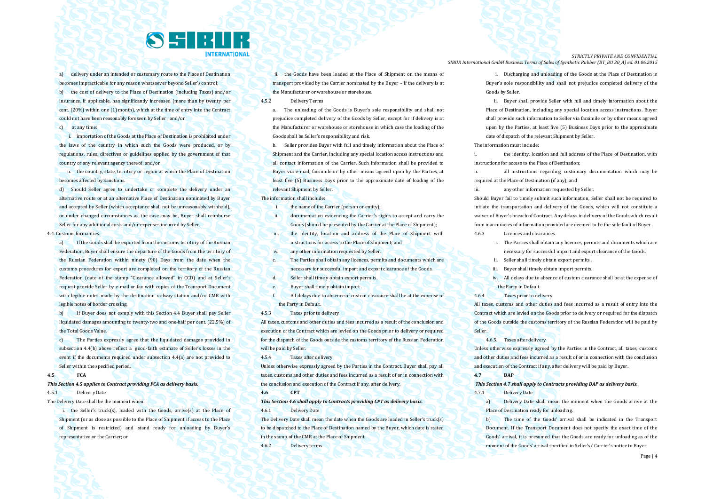

a) delivery under an intended or customary route to the Place of Destination becomes impracticable for any reason whatsoever beyond Seller's control; b) the cost of delivery to the Place of Destination (including Taxes) and/or insurance, if applicable, has significantly increased (more than by twenty per cent. (20%) within one (1) month), which at the time of entry into the Contract could not have been reasonably foreseen by Seller ; and/or

c) at any time:

i. importation of the Goods at the Place of Destination is prohibited under the laws of the country in which such the Goods were produced, or by regulations, rules, directives or guidelines applied by the government of that country or any relevant agency thereof; and/or

ii. the country, state, territory or region at which the Place of Destination becomes affected by Sanctions.

d) Should Seller agree to undertake or complete the delivery under an alternative route or at an alternative Place of Destination nominated by Buyer and accepted by Seller (which acceptance shall not be unreasonably withheld), or under changed circumstances as the case may be, Buyer shall reimburse Seller for any additional costs and/or expenses incurred by Seller.

#### 4.4. Customs formalities

a) If the Goods shall be exported from the customs territory of the Russian Federation, Buyer shall ensure the departure of the Goods from the territory of the Russian Federation within ninety (90) Days from the date when the customs procedures for export are completed on the territory of the Russian Federation (date of the stamp "Clearance allowed" in CCD) and at Seller's request provide Seller by e-mail or fax with copies of the Transport Document with legible notes made by the destination railway station and/or CMR with legible notes of border crossing.

b) If Buyer does not comply with this Section 4.4 Buyer shall pay Seller liquidated damages amounting to twenty-two and one-half per cent. (22.5%) of the Total Goods Value.

c) The Parties expressly agree that the liquidated damages provided in subsection 4.4(b) above reflect a good-faith estimate of Seller's losses in the event if the documents required under subsection 4.4(a) are not provided to Seller within the specified period.

#### **4.5 FCA**

## *This Section 4.5 applies to Contract providing FCA as delivery basis.* 4.5.1 Delivery Date

The Delivery Date shall be the moment when:

i. the Seller's truck(s), loaded with the Goods, arrive(s) at the Place of Shipment (or as close as possible to the Place of Shipment if access to the Place of Shipment is restricted) and stand ready for unloading by Buyer's representative or the Carrier; or

ii. the Goods have been loaded at the Place of Shipment on the means of transport provided by the Carrier nominated by the Buyer – if the delivery is at the Manufacturer or warehouse or storehouse.

- 4.5.2 Delivery Terms
	- a. The unloading of the Goods is Buyer's sole responsibility and shall not prejudice completed delivery of the Goods by Seller, except for if delivery is at the Manufacturer or warehouse or storehouse in which case the loading of the Goods shall be Seller's responsibility and risk.

b. Seller provides Buyer with full and timely information about the Place of Shipment and the Carrier, including any special location access instructions and all contact information of the Carrier. Such information shall be provided to Buyer via e-mail, facsimile or by other means agreed upon by the Parties, at least five (5) Business Days prior to the approximate date of loading of the relevant Shipment by Seller.

The information shall include:

i. the name of the Carrier (person or entity):

- ii. documentation evidencing the Carrier's rights to accept and carry the Goods (should be presented by the Carrier at the Place of Shipment);
- iii. the identity, location and address of the Place of Shipment with instructions for access to the Place of Shipment; and
- iv. any other information requested by Seller.
- c. The Parties shall obtain any licences, permits and documents which are necessary for successful import and export clearance of the Goods.
- d. Seller shall timely obtain export permits.
- e. Buyer shall timely obtain import .
- f. All delays due to absence of custom clearance shall be at the expense of the Party in Default.
- 4.5.3 Taxes prior to delivery

All taxes, customs and other duties and fees incurred as a result of the conclusion and execution of the Contract which are levied on the Goods prior to delivery or required for the dispatch of the Goods outside the customs territory of the Russian Federation will be paid by Seller.

4.5.4 Taxes after delivery

Unless otherwise expressly agreed by the Parties in the Contract, Buyer shall pay all taxes, customs and other duties and fees incurred as a result of or in connection with the conclusion and execution of the Contract if any, after delivery.

#### **4.6 CPT**

#### *This Section 4.6 shall apply to Contracts providing CPT as delivery basis.*

4.6.1 Delivery Date

The Delivery Date shall mean the date when the Goods are loaded in Seller's truck(s) to be dispatched to the Place of Destination named by the Buyer, which date is stated in the stamp of the CMR at the Place of Shipment.

4.6.2 Delivery terms

*STRICTLY PRIVATE AND CONFIDENTIAL SIBUR International GmbH Business Terms of Sales of Synthetic Rubber (BT\_BU 30\_A) ed. 01.06.2015*

> i. Discharging and unloading of the Goods at the Place of Destination is Buyer's sole responsibility and shall not prejudice completed delivery of the Goods by Seller.

> ii. Buyer shall provide Seller with full and timely information about the Place of Destination, including any special location access instructions. Buyer shall provide such information to Seller via facsimile or by other means agreed upon by the Parties, at least five (5) Business Days prior to the approximate date of dispatch of the relevant Shipment by Seller.

#### The information must include:

i. the identity, location and full address of the Place of Destination, with instructions for access to the Place of Destination;

ii. all instructions regarding customary documentation which may be required at the Place of Destination (if any); and

iii. any other information requested by Seller.

Should Buyer fail to timely submit such information, Seller shall not be required to initiate the transportation and delivery of the Goods, which will not constitute a waiver of Buyer's breach of Contract. Any delays in delivery of the Goods which result from inaccuracies of information provided are deemed to be the sole fault of Buyer .

- 4.6.3 Licences and clearances
	- i. The Parties shall obtain any licences, permits and documents which are necessary for successful import and export clearance of the Goods.
	- ii. Seller shall timely obtain export permits .
	- iii. Buyer shall timely obtain import permits.
	- iv. All delays due to absence of custom clearance shall be at the expense of the Party in Default.
- 4.6.4 Taxes prior to delivery

All taxes, customs and other duties and fees incurred as a result of entry into the Contract which are levied on the Goods prior to delivery or required for the dispatch of the Goods outside the customs territory of the Russian Federation will be paid by Seller.

4.6.5. Taxes after delivery

Unless otherwise expressly agreed by the Parties in the Contract, all taxes, customs and other duties and fees incurred as a result of or in connection with the conclusion and execution of the Contract if any, after delivery will be paid by Buyer.

#### **4.7 DAP**

*This Section 4.7 shall apply to Contracts providing DAP as delivery basis.*

4.7.1 Delivery Date

a) Delivery Date shall mean the moment when the Goods arrive at the Place of Destination ready for unloading.

b) The time of the Goods' arrival shall be indicated in the Transport Document. If the Transport Document does not specify the exact time of the Goods' arrival, it is presumed that the Goods are ready for unloading as of the moment of the Goods' arrival specified in Seller's/ Carrier's notice to Buyer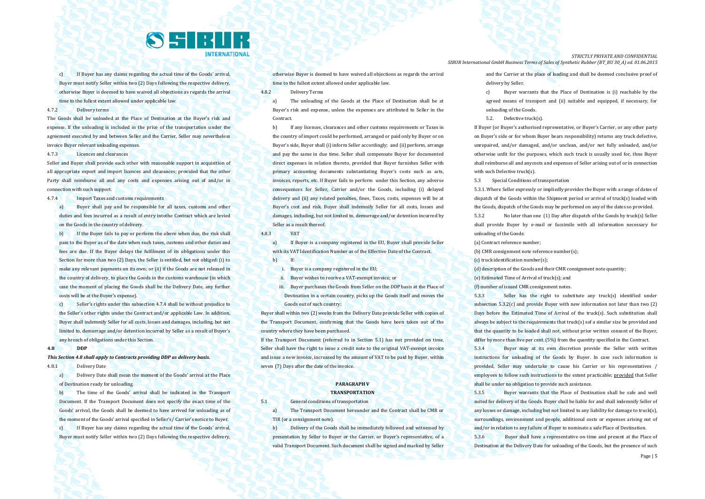

c) If Buyer has any claims regarding the actual time of the Goods' arrival, Buyer must notify Seller within two (2) Days following the respective delivery, otherwise Buyer is deemed to have waived all objections as regards the arrival time to the fullest extent allowed under applicable law.

#### 4.7.2 Delivery terms

The Goods shall be unloaded at the Place of Destination at the Buyer's risk and expense. If the unloading is included in the price of the transportation under the agreement executed by and between Seller and the Carrier, Seller may nevertheless invoice Buyer relevant unloading expenses.

4.7.3 Licences and clearances

Seller and Buyer shall provide each other with reasonable support in acquisition of all appropriate export and import licences and clearances; provided that the other Party shall reimburse all and any costs and expenses arising out of and/or in connection with such support.

4.7.4 Import Taxes and customs requirements

a) Buyer shall pay and be responsible for all taxes, customs and other duties and fees incurred as a result of entry intothe Contract which are levied on the Goods in the country of delivery.

b) If the Buyer fails to pay or perform the above when due, the risk shall pass to the Buyer as of the date when such taxes, customs and other duties and fees are due. If the Buyer delays the fulfilment of its obligations under this Section for more than two (2) Days, the Seller is entitled, but not obliged: (i) to make any relevant payments on its own; or (ii) if the Goods are not released in the country of delivery, to place the Goods in the customs warehouse (in which case the moment of placing the Goods shall be the Delivery Date, any further costs will be at the Buyer's expense).

c) Seller's rights under this subsection 4.7.4 shall be without prejudice to the Seller's other rights under the Contract and/or applicable Law. In addition, Buyer shall indemnify Seller for all costs, losses and damages, including, but not limited to, demurrage and/or detention incurred by Seller as a result of Buyer's any breach of obligations under this Section.

#### **4.8 DDP**

*This Section 4.8 shall apply to Contracts providing DDP as delivery basis.*

4.8.1 Delivery Date

a) Delivery Date shall mean the moment of the Goods' arrival at the Place of Destination ready for unloading.

b) The time of the Goods' arrival shall be indicated in the Transport Document. If the Transport Document does not specify the exact time of the Goods' arrival, the Goods shall be deemed to have arrived for unloading as of the moment of the Goods' arrival specified in Seller's/ Carrier's notice to Buyer. c) If Buyer has any claims regarding the actual time of the Goods' arrival, Buyer must notify Seller within two (2) Days following the respective delivery,

otherwise Buyer is deemed to have waived all objections as regards the arrival time to the fullest extent allowed under applicable law.

4.8.2 Delivery Terms

a) The unloading of the Goods at the Place of Destination shall be at Buyer's risk and expense, unless the expenses are attributed to Seller in the Contract.

b) If any licences, clearances and other customs requirements or Taxes in the country of import could be performed, arranged or paid only by Buyer or on Buyer's side, Buyer shall (i) inform Seller accordingly; and (ii) perform, arrange and pay the same in due time. Seller shall compensate Buyer for documented direct expenses in relation thereto, provided that Buyer furnishes Seller with primary accounting documents substantiating Buyer's costs such as acts, invoices, reports, etc. If Buyer fails to perform under this Section, any adverse consequences for Seller, Carrier and/or the Goods, including (i) delayed delivery and (ii) any related penalties, fines, Taxes, costs, expenses will be at Buyer's cost and risk. Buyer shall indemnify Seller for all costs, losses and damages, including, but not limited to, demurrage and/or detention incurred by Seller as a result thereof.

4.8.3 VAT

a) If Buyer is a company registered in the EU, Buyer shall provide Seller with its VAT Identification Number as of the Effective Date of the Contract.  $h$  If:

- i. Buyer is a company registered in the EU
- ii. Buyer wishes to receive a VAT-exempt invoice; or
- iii. Buyer purchases the Goods from Seller on the DDP basis at the Place of Destination in a certain country, picks up the Goods itself and moves the Goods out of such country;

Buyer shall within two (2) weeks from the Delivery Date provide Seller with copies of the Transport Document, confirming that the Goods have been taken out of the country where they have been purchased.

If the Transport Document (referred to in Section 5.1) has not provided on time, Seller shall have the right to issue a credit note to the original VAT-exempt invoice and issue a new invoice, increased by the amount of VAT to be paid by Buyer, within seven (7) Days after the date of the invoice.

#### **PARAGRAPH V TRANSPORTATION**

5.1 General conditions of transportation

a) The Transport Document hereunder and the Contract shall be CMR or TIR (or a consignment note).

b) Delivery of the Goods shall be immediately followed and witnessed by presentation by Seller to Buyer or the Carrier, or Buyer's representative, of a valid Transport Document. Such document shall be signed and marked by Seller

*STRICTLY PRIVATE AND CONFIDENTIAL SIBUR International GmbH Business Terms of Sales of Synthetic Rubber (BT\_BU 30\_A) ed. 01.06.2015*

> and the Carrier at the place of loading and shall be deemed conclusive proof of delivery by Seller.

> c) Buyer warrants that the Place of Destination is (i) reachable by the agreed means of transport and (ii) suitable and equipped, if necessary, for unloading of the Goods.

5.2. Defective truck(s).

If Buyer (or Buyer's authorised representative, or Buyer's Carrier, or any other party on Buyer's side or for whom Buyer bears responsibility) returns any truck defective, unrepaired, and/or damaged, and/or unclean, and/or not fully unloaded, and/or otherwise unfit for the purposes, which such truck is usually used for, thne Buyer shall reimburse all and anycosts and expenses of Seller arising out of or in connection with such Defective truck(s).

5.3 Special Conditions of transportation

5.3.1. Where Seller expressly or impliedly provides the Buyer with a range of dates of dispatch of the Goods within the Shipment period or arrival of truck(s) loaded with the Goods, dispatch of the Goods may be performed on any of the dates so provided.

5.3.2 No later than one (1) Day after dispatch of the Goods by truck(s) Seller shall provide Buyer by e-mail or facsimile with all information necessary for unloading of the Goods:

(a) Contract reference number;

- (b) CMR consignment note reference number(s);
- (c) truck identification number(s);
- (d) description of the Goods and their CMR consignment note quantity;
- (e) Estimated Time of Arrival of truck(s); and
- (f) number of issued CMR consignment notes.

5.3.3 Seller has the right to substitute any truck(s) identified under subsection 5.3.2(c) and provide Buyer with new information not later than two (2) Days before the Estimated Time of Arrival of the truck(s). Such substitution shall always be subject to the requirements that truck(s) sof a similar size be provided and that the quantity to be loaded shall not, without prior written consent of the Buyer, differ by more than five per cent. (5%) from the quantity specified in the Contract.

5.3.4 Buyer may at its own discretion provide the Seller with written instructions for unloading of the Goods by Buyer. In case such information is provided, Seller may undertake to cause his Carrier or his representatives / employees to follow such instructions to the extent practicable; provided that Seller shall be under no obligation to provide such assistance.

5.3.5 Buyer warrants that the Place of Destination shall be safe and well suited for delivery of the Goods. Buyer shall be liable for and shall indemnify Seller of any losses or damage, including but not limited to any liability for damage to truck(s), surroundings, environment and people, additional costs or expenses arising out of and/or in relation to any failure of Buyer to nominate a safe Place of Destination.

5.3.6 Buyer shall have a representative on-time and present at the Place of Destination at the Delivery Date for unloading of the Goods, but the presence of such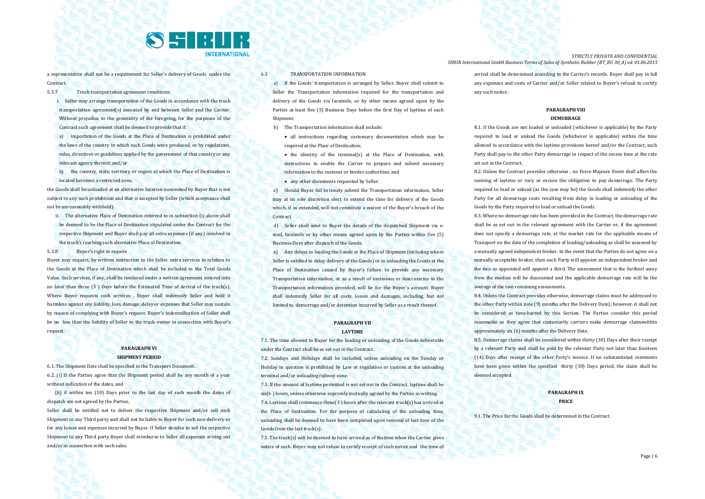

a representative shall not be a requirement for Seller's delivery of Goods under the **Contract** 

5.3.7 Truck transportation agreement conditions

- i. Seller may arrange transportation of the Goods in accordance with the truck transportation agreement(s) executed by and between Seller and the Carrier. Without prejudice to the generality of the foregoing, for the purposes of the Contract such agreement shall be deemed to provide that if:
- a) importation of the Goods at the Place of Destination is prohibited under the laws of the country in which such Goods were produced, or by regulations, rules, directives or guidelines applied by the government of that country or any relevant agency thereof; and/or
- b) the country, state, territory or region at which the Place of Destination is located becomes a restricted zone,

the Goods shall be unloaded at an alternative location nominated by Buyer that is not subject to any such prohibition and that is accepted by Seller (which acceptance shall not be unreasonably withheld).

ii. The alternative Place of Destination referred to in subsection (i) above shall be deemed to be the Place of Destination stipulated under the Contract for the respective Shipment and Buyer shall pay all extra expenses (if any) involved in the truck's reaching such alternative Place of Destination.

5.3.8 Buyer's right to require

Buyer may request, by written instruction to the Seller, extra services in relation to the Goods at the Place of Destination which shall be included in the Total Goods Value. Such services, if any, shall be rendered under a written agreement entered into no later than three (3 ) Days before the Estimated Time of Arrival of the truck(s). Where Buyer requests such services , Buyer shall indemnify Seller and hold it harmless against any liability, loss, damage, delay or expenses that Seller may sustain by reason of complying with Buyer's request. Buyer's indemnification of Seller shall be no less than the liability of Seller to the truck owner in connection with Buyer's request.

#### **PARAGRAPH VI SHIPMENT PERIOD**

6.1. The Shipment Date shall be specified in the Transport Document.

6.2. (i) If the Parties agree that the Shipment period shall be any month of a year without indication of the dates, and

 (ii) if within ten (10) Days prior to the last day of such month the dates of dispatch are not agreed by the Parties,

Seller shall be entitled not to deliver the respective Shipment and/or sell such Shipment to any Third party and shall not be liable to Buyer for such non-delivery or for any losses and expenses incurred by Buyer. If Seller decides to sell the respective Shipment to any Third party Buyer shall reimburse to Seller all expenses arising out and/or in connection with such sales.

6.3 TRANSPORTATION INFORMATION

a) If the Goods' transportation is arranged by Seller, Buyer shall submit to Seller the Transportation information required for the transportation and delivery of the Goods via facsimile, or by other means agreed upon by the Parties at least five (5) Business Days before the first Day of laytime of each Shipment.

b) The Transportation information shall include:

 all instructions regarding customary documentation which may be required at the Place of Destination;

• the identity of the terminal(s) at the Place of Destination, with instructions to enable the Carrier to prepare and submit necessary information to the customs or border authorities; and

• any other documents requested by Seller.

c) Should Buyer fail to timely submit the Transportation information, Seller may at its sole discretion elect to extend the time for delivery of the Goods which, if so extended, will not constitute a waiver of the Buyer's breach of the Contract.

d) Seller shall send to Buyer the details of the dispatched Shipment via email, facsimile or by other means agreed upon by the Parties within five (5) Business Days after dispatch of the Goods.

e) Any delays in loading the Goods at the Place of Shipment (including where Seller is entitled to delay delivery of the Goods) or in unloading the Goods at the Place of Destination caused by Buyer's failure to provide any necessary Transportation information, or as a result of omissions or inaccuracies in the Transportation information provided, will be for the Buyer's account. Buyer shall indemnify Seller for all costs, losses and damages, including, but not limited to, demurrage and/or detention incurred by Seller as a result thereof.

#### **PARAGRAPH VII LAYTIME**

7.1. The time allowed to Buyer for the loading or unloading of the Goods deliverable under the Contract shall be as set out in the Contract.

7.2. Sundays and Holidays shall be included, unless unloading on the Sunday or Holiday in question is prohibited by Law or regulation or custom at the unloading terminal and/or unloading railway zone.

7.3. If the amount of laytime permitted is not set out in the Contract, laytime shall be six(6 ) hours, unless otherwise expressly mutually agreed by the Parties in writing. 7.4. Laytime shall commence three(3 ) hours after the relevant truck(s) has arrived at the Place of Destination. For the purpose of calculating of the unloading time, unloading shall be deemed to have been completed upon removal of last item of the Goods from the last truck(s).

7.5. The truck(s) will be deemed to have arrived as of thetime when the Carrier gives notice of such. Buyer may not refuse to certify receipt of such notice and the time of

*STRICTLY PRIVATE AND CONFIDENTIAL SIBUR International GmbH Business Terms of Sales of Synthetic Rubber (BT\_BU 30\_A) ed. 01.06.2015*

> arrival shall be determined according to the Carrier's records. Buyer shall pay in full any expenses and costs of Carrier and/or Seller related to Buyer's refusal to certify any such notice .

#### **PARAGRAPH VIII DEMURRAGE**

8.1. If the Goods are not loaded or unloaded (whichever is applicable) by the Party required to load or unload the Goods (whichever is applicable) within the time allowed in accordance with the laytime provisions hereof and/or the Contract, such Party shall pay to the other Party demurrage in respect of the excess time at the rate set out in the Contract.

8.2. Unless the Contract provides otherwise , no Force Majeure Event shall affect the running of laytime or vary or excuse the obligation to pay demurrage. The Party required to load or unload (as the case may be) the Goods shall indemnify the other Party for all demurrage costs resulting from delay in loading or unloading of the Goods by the Party required to load or unload the Goods.

8.3. Where no demurrage rate has been provided in the Contract, the demurrage rate shall be as set out in the relevant agreement with the Carrier or, if the agreement does not specify a demurrage rate, at the market rate for the applicable means of Transport on the date of the completion of loading/unloading as shall be assessed by a mutually agreed independent broker. In the event that the Parties do not agree on a mutually acceptable broker, then each Party will appoint an independent broker and the two so appointed will appoint a third. The assessment that is the furthest away from the median will be discounted and the applicable demurrage rate will be the average of the two remaining assessments.

8.4. Unless the Contract provides otherwise, demurrage claims must be addressed to the other Party within nine (9) months after the Delivery Date); however, it shall not be considered as time-barred by this Section. The Parties consider this period reasonable as they agree that customarily carriers make demurrage claimswithin approximately six (6) months after the Delivery Date.

8.5. Demurrage claims shall be considered within thirty (30) Days after their receipt by a relevant Party and shall be paid by the relevant Party not later than fourteen (14) Days after receipt of the other Party's invoice. If no substantiated comments have been given within the specified thirty (30) Days period, the claim shall be deemed accepted.

### **PARAGRAPH IX PRICE**

9.1. The Price for the Goods shall be determined in the Contract.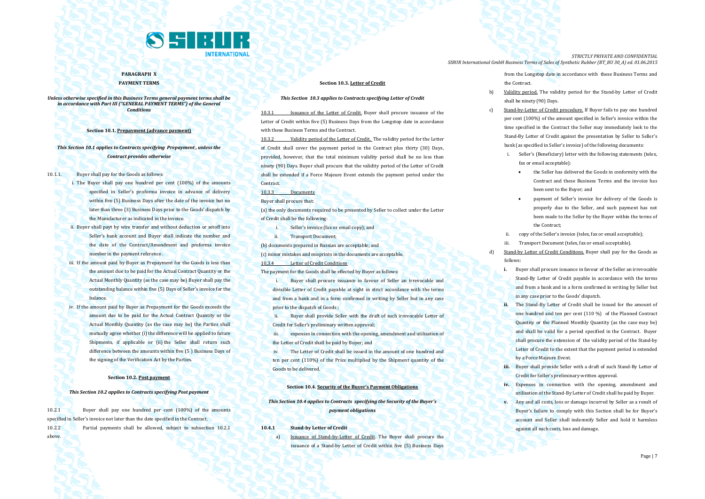

**PARAGRAPH X PAYMENT TERMS**

*Unless otherwise specified in this Business Terms general payment terms shall be in accordance with Part III ("GENERAL PAYMENT TERMS") of the General Conditions*

**Section 10.1. Prepayment (advance payment)**

*This Section 10.1 applies to Contracts specifying Prepayment , unless the Contract provides otherwise*

10.1.1. Buyer shall pay for the Goods as follows:

- i. The Buyer shall pay one hundred per cent (100%) of the amounts specified in Seller's proforma invoice in advance of delivery within five (5) Business Days after the date of the invoice but no later than three (3) Business Days prior to the Goods' dispatch by the Manufacturer as indicated in the invoice.
- ii. Buyer shall payt by wire transfer and without deduction or setoff into Seller's bank account and Buyer shall indicate the number and the date of the Contract/Amendment and proforma invoice number in the payment reference .
- iii. If the amount paid by Buyer as Prepayment for the Goods is less than the amount due to be paid for the Actual Contract Quantity or the Actual Monthly Quantity (as the case may be) Buyer shall pay the outstanding balance within five (5) Days of Seller's invoice for the balance.
- iv. If the amount paid by Buyer as Prepayment for the Goods exceeds the amount due to be paid for the Actual Contract Quantity or the Actual Monthly Quantity (as the case may be) the Parties shall mutually agree whether (i) the difference will be applied to future Shipments, if applicable or (ii) the Seller shall return such difference between the amounts within five (5 ) Business Days of the signing of the Verification Act by the Parties.

#### **Section 10.2. Post payment**

#### *This Section 10.2 applies to Contracts specifying Post payment*

10.2.1 Buyer shall pay one hundred per cent (100%) of the amounts specified in Seller's invoice not later than the date specified in the Contract. 10.2.2 Partial payments shall be allowed, subject to subsection 10.2.1 above.

#### **Section 10.3. Letter of Credit**

#### *This Section 10.3 applies to Contracts specifying Letter of Credit*

10.3.1 Issuance of the Letter of Credit. Buyer shall procure issuance of the Letter of Credit within five (5) Business Days from the Longstop date in accordance with these Business Terms and the Contract.

10.3.2 Validity period of the Letter of Credit. The validity period for the Letter of Credit shall cover the payment period in the Contract plus thirty (30) Days, provided, however, that the total minimum validity period shall be no less than ninety (90) Days. Buyer shall procure that the validity period of the Letter of Credit shall be extended if a Force Majeure Event extends the payment period under the **Contract.** 

10.3.3 Documents

Buyer shall procure that:

(a) the only documents required to be presented by Seller to collect under the Letter of Credit shall be the following:

- i. Seller's invoice (fax or email copy); and
- ii. Transport Document;

(b) documents prepared in Russian are acceptable; and

(c) minor mistakes and misprints in the documents are acceptable.

**10.3.4 Letter of Credit Conditions** 

The payment for the Goods shall be effected by Buyer as follows:

Buyer shall procure issuance in favour of Seller an irrevocable and divisible Letter of Credit payable at sight in strict accordance with the terms and from a bank and in a form confirmed in writing by Seller but in any case prior to the dispatch of Goods ;

ii. Buyer shall provide Seller with the draft of such irrevocable Letter of Credit for Seller's preliminary written approval;

iii. expenses in connection with the opening, amendment and utilisation of the Letter of Credit shall be paid by Buyer; and

iv. The Letter of Credit shall be issued in the amount of one hundred and ten per cent (110%) of the Price multiplied by the Shipment quantity of the Goods to be delivered.

#### **Section 10.4. Security of the Buyer's Payment Obligations**

*This Section 10.4 applies to Contracts specifying the Security of the Buyer's payment obligations*

**10.4.1 Stand-by Letter of Credit**

a) Issuance of Stand-by-Letter of Credit. The Buyer shall procure the issuance of a Stand-by Letter of Credit within five (5) Business Days

*STRICTLY PRIVATE AND CONFIDENTIAL SIBUR International GmbH Business Terms of Sales of Synthetic Rubber (BT\_BU 30\_A) ed. 01.06.2015*

> from the Longstop date in accordance with these Business Terms and the Contract.

- b) Validity period. The validity period for the Stand-by Letter of Credit shall be ninety (90) Days.
- c) Stand-by-Letter of Credit procedure. If Buyer fails to pay one hundred per cent (100%) of the amount specified in Seller's invoice within the time specified in the Contract the Seller may immediately look to the Stand-By Letter of Credit against the presentation by Seller to Seller's bank (as specified in Seller's invoice) of the following documents:
	- i. Seller's (Beneficiary) letter with the following statements (telex, fax or email acceptable):
		- the Seller has delivered the Goods in conformity with the Contract and these Business Terms and the invoice has been sent to the Buyer; and
		- payment of Seller's invoice for delivery of the Goods is properly due to the Seller, and such payment has not been made to the Seller by the Buyer within the terms of the Contract;
	- copy of the Seller's invoice (telex, fax or email acceptable);
	- Transport Document (telex, fax or email acceptable).
- d) Stand-by Letter of Credit Conditions. Buyer shall pay for the Goods as follows:
	- **i.** Buyer shall procure issuance in favour of the Seller an irrevocable Stand-By Letter of Credit payable in accordance with the terms and from a bank and in a form confirmed in writing by Seller but in any case prior to the Goods' dispatch.
	- **ii.** The Stand-By Letter of Credit shall be issued for the amount of one hundred and ten per cent (110 %) of the Planned Contract Quantity or the Planned Monthly Quantity (as the case may be) and shall be valid for a period specified in the Contract. Buyer shall procure the extension of the validity period of the Stand-by Letter of Credit to the extent that the payment period is extended by a Force Majeure Event.
	- **iii.** Buyer shall provide Seller with a draft of such Stand-By Letter of Credit for Seller's preliminary written approval.
	- **iv.** Expenses in connection with the opening, amendment and utilisation of the Stand-By Letter of Credit shall be paid by Buyer.
	- **v.** Any and all costs, loss or damage incurred by Seller as a result of Buyer's failure to comply with this Section shall be for Buyer's account and Seller shall indemnify Seller and hold it harmless against all such costs, loss and damage.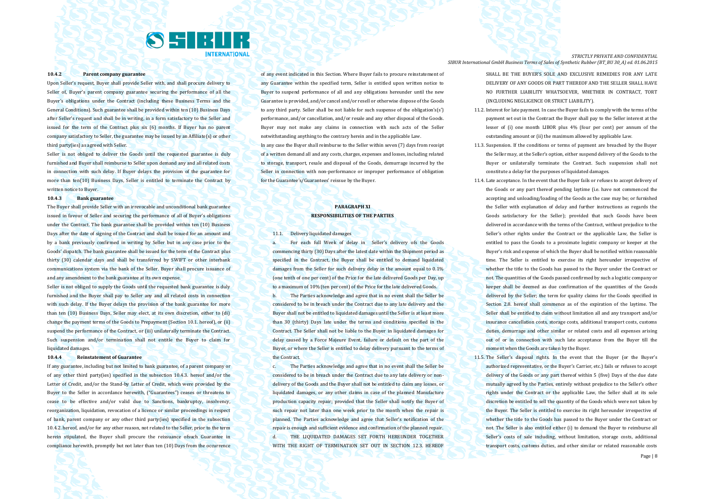

#### **10.4.2 Parent company guarantee**

Upon Seller's request, Buyer shall provide Seller with, and shall procure delivery to Seller of, Buyer's parent company guarantee securing the performance of all the Buyer's obligations under the Contract (including these Business Terms and the General Conditions). Such guarantee shall be provided within ten (10) Business Days after Seller's request and shall be in writing, in a form satisfactory to the Seller and issued for the term of the Contract plus six (6) months. If Buyer has no parent company satisfactory to Seller, the guarantee may be issued by an Affiliate(s) or other third party(ies) as agreed with Seller.

Seller is not obliged to deliver the Goods until the requested guarantee is duly furnished and Buyer shall reimburse to Seller upon demand any and all related costs in connection with such delay. If Buyer delays the provision of the guarantee for more than ten(10) Business Days, Seller is entitled to terminate the Contract by written notice to Buyer.

#### **10.4.3 Bank guarantee**

The Buyer shall provide Seller with an irrevocable and unconditional bank guarantee issued in favour of Seller and securing the performance of all of Buyer's obligations under the Contract. The bank guarantee shall be provided within ten (10) Business Days after the date of signing of the Contract and shall be issued for an amount and by a bank previously confirmed in writing by Seller but in any case prior to the Goods' dispatch. The bank guarantee shall be issued for the term of the Contract plus thirty (30) calendar days and shall be transferred by SWIFT or other interbank communications system via the bank of the Seller. Buyer shall procure issuance of and any amendment to the bank guarantee at its own expense.

Seller is not obliged to supply the Goods until the requested bank guarantee is duly furnished and the Buyer shall pay to Seller any and all related costs in connection with such delay. If the Buyer delays the provision of the bank guarantee for more than ten (10) Business Days, Seller may elect, at its own discretion, either to (di) change the payment terms of the Goods to Prepayment (Section 10.1. hereof), or (ii) suspend the performance of the Contract, or (iii) unilaterally terminate the Contract. Such suspension and/or termination shall not entitle the Buyer to claim for liquidated damages.

#### **10.4.4 Reinstatement of Guarantee**

If any guarantee, including but not limited to bank guarantee, of a parent company or of any other third party(ies) specified in the subsection 10.4.3. hereof and/or the Letter of Credit, and/or the Stand-by Letter of Credit, which were provided by the Buyer to the Seller in accordance herewith, ("Guarantees") ceases or threatens to cease to be effective and/or valid due to Sanctions, bankruptcy, insolvency, reorganization, liquidation, revocation of a licence or similar proceedings in respect of bank, parent company or any other third party(ies) specified in the subsection 10.4.2. hereof, and/or for any other reason, not related to the Seller, prior to the term herein stipulated, the Buyer shall procure the reissuance ofsuch Guarantee in compliance herewith, promptly but not later than ten (10) Days from the occurrence of any event indicated in this Section. Where Buyer fails to procure reinstatement of any Guarantee within the specified term, Seller is entitled upon written notice to Buyer to suspend performance of all and any obligations hereunder until the new Guarantee is provided, and/or cancel and/or resell or otherwise dispose of the Goods to any third party. Seller shall be not liable for such suspense of the obligation's(s') performance, and/or cancellation, and/or resale and any other disposal of the Goods. Buyer may not make any claims in connection with such acts of the Seller notwithstanding anything to the contrary herein and in the applicable Law.

In any case the Buyer shall reimburse to the Seller within seven (7) days from receipt of a written demand all and any costs, charges, expenses and losses, including related to storage, transport, resale and disposal of the Goods, demurrage incurred by the Seller in connection with non-performance or improper performance of obligation for the Guarantee's/Guarantees' reissue by the Buyer.

## **PARAGRAPH XI RESPONSIBILITIES OF THE PARTIES**

11.1. Delivery liquidated damages

the Contract.

a. For each full Week of delay in Seller's delivery ofs the Goods commencing thirty (30) Days after the latest date within the Shipment period as specified in the Contract, the Buyer shall be entitled to demand liquidated damages from the Seller for such delivery delay in the amount equal to 0.1% (one tenth of one per cent) of the Price for the late delivered Goods per Day, up to a maximum of 10% (ten per cent) of the Price for the late delivered Goods. b. The Parties acknowledge and agree that in no event shall the Seller be considered to be in breach under the Contract due to any late delivery and the Buyer shall not be entitled to liquidated damages until the Seller is at least more than 30 (thirty) Days late under the terms and conditions specified in the Contract. The Seller shall not be liable to the Buyer in liquidated damages for delay caused by a Force Majeure Event, failure or default on the part of the Buyer, or where the Seller is entitled to delay delivery pursuant to the terms of

c. The Parties acknowledge and agree that in no event shall the Seller be considered to be in breach under the Contract due to any late delivery or nondelivery of the Goods and the Buyer shall not be entitled to claim any losses, or liquidated damages, or any other claims in case of the planned Manufacture production capacity repair; provided that the Seller shall notify the Buyer of such repair not later than one week prior to the month when the repair is planned. The Parties acknowledge and agree that Seller's notification of the repair is enough and sufficient evidence and confirmation of the planned repair. d. THE LIQUIDATED DAMAGES SET FORTH HEREUNDER TOGETHER WITH THE RIGHT OF TERMINATION SET OUT IN SECTION 12.3. HEREOF

*STRICTLY PRIVATE AND CONFIDENTIAL SIBUR International GmbH Business Terms of Sales of Synthetic Rubber (BT\_BU 30\_A) ed. 01.06.2015*

> SHALL BE THE BUYER'S SOLE AND EXCLUSIVE REMEDIES FOR ANY LATE DELIVERY OF ANY GOODS OR PART THEREOF AND THE SELLER SHALL HAVE NO FURTHER LIABILITY WHATSOEVER, WHETHER IN CONTRACT, TORT (INCLUDING NEGLIGENCE OR STRICT LIABILITY).

- 11.2. Interest for late payment. In case the Buyer fails to comply with the terms of the payment set out in the Contract the Buyer shall pay to the Seller interest at the lesser of (i) one month LIBOR plus 4% (four per cent) per annum of the outstanding amount or (ii) the maximum allowed by applicable Law.
- 11.3. Suspension. If the conditions or terms of payment are breached by the Buyer the Seller may, at the Seller's option, either suspend delivery of the Goods to the Buyer or unilaterally terminate the Contract. Such suspension shall not constitute a delay for the purposes of liquidated damages.
- 11.4. Late acceptance. In the event that the Buyer fails or refuses to accept delivery of the Goods or any part thereof pending laytime (i.e. have not commenced the accepting and unloading/loading of the Goods as the case may be; or furnished the Seller with explanation of delay and further instructions as regards the Goods satisfactory for the Seller); provided that such Goods have been delivered in accordance with the terms of the Contract, without prejudice to the Seller's other rights under the Contract or the applicable Law, the Seller is entitled to pass the Goods to a proximate logistic company or keeper at the Buyer's risk and expense of which the Buyer shall be notified within reasonable time. The Seller is entitled to exercise its right hereunder irrespective of whether the title to the Goods has passed to the Buyer under the Contract or not. The quantities of the Goods passed confirmed by such a logistic company or keeper shall be deemed as due confirmation of the quantities of the Goods delivered by the Seller; the term for quality claims for the Goods specified in Section 2.8. hereof shall commence as of the expiration of the laytime. The Seller shall be entitled to claim without limitation all and any transport and/or insurance cancellation costs, storage costs, additional transport costs, customs duties, demurrage and other similar or related costs and all expenses arising out of or in connection with such late acceptance from the Buyer till the moment when the Goods are taken by the Buyer.
- 11.5. The Seller's disposal rights. In the event that the Buyer (or the Buyer's authorized representative, or the Buyer's Carrier, etc.) fails or refuses to accept delivery of the Goods or any part thereof within 5 (five) Days of the due date mutually agreed by the Parties, entirely without prejudice to the Seller's other rights under the Contract or the applicable Law, the Seller shall at its sole discretion be entitled to sell the quantity of the Goods which were not taken by the Buyer. The Seller is entitled to exercise its right hereunder irrespective of whether the title to the Goods has passed to the Buyer under the Contract or not. The Seller is also entitled either (i) to demand the Buyer to reimburse all Seller's costs of sale including, without limitation, storage costs, additional transport costs, customs duties, and other similar or related reasonable costs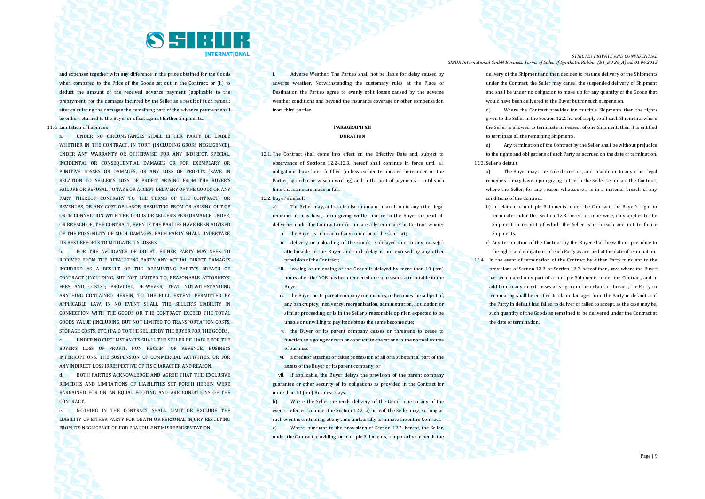

and expenses together with any difference in the price obtained for the Goods when compared to the Price of the Goods set out in the Contract: or (ii) to deduct the amount of the received advance payment (applicable to the prepayment) for the damages incurred by the Seller as a result of such refusal; after calculating the damages the remaining part of the advance payment shall be either returned to the Buyer or offset against further Shipments..

11.6. Limitation of liabilities

a. UNDER NO CIRCUMSTANCES SHALL EITHER PARTY BE LIABLE WHETHER IN THE CONTRACT. IN TORT (INCLUDING GROSS NEGLIGENCE), UNDER ANY WARRANTY OR OTHERWISE, FOR ANY INDIRECT, SPECIAL, INCIDENTAL OR CONSEQUENTIAL DAMAGES OR FOR EXEMPLARY OR PUNITIVE LOSSES OR DAMAGES, OR ANY LOSS OF PROFITS (SAVE IN RELATION TO SELLER'S LOSS OF PROFIT ARISING FROM THE BUYER'S FAILURE OR REFUSAL TO TAKE OR ACCEPT DELIVERY OF THE GOODS OR ANY PART THEREOF CONTRARY TO THE TERMS OF THE CONTRACT) OR REVENUES, OR ANY COST OF LABOR, RESULTING FROM OR ARISING OUT OF OR IN CONNECTION WITH THE GOODS OR SELLER'S PERFORMANCE UNDER, OR BREACH OF, THE CONTRACT, EVEN IF THE PARTIES HAVE BEEN ADVISED. OF THE POSSIBILITY OF SUCH DAMAGES. EACH PARTY SHALL UNDERTAKE ITS BEST EFFORTS TO MITIGATE ITS LOSSES.

b. FOR THE AVOIDANCE OF DOUBT, EITHER PARTY MAY SEEK TO RECOVER FROM THE DEFAULTING PARTY ANY ACTUAL DIRECT DAMAGES INCURRED AS A RESULT OF THE DEFAULTING PARTY'S BREACH OF CONTRACT (INCLUDING, BUT NOT LIMITED TO, REASONABLE ATTORNEYS' FEES AND COSTS): PROVIDED, HOWEVER, THAT NOTWITHSTANDING ANYTHING CONTAINED HEREIN, TO THE FULL EXTENT PERMITTED BY APPLICABLE LAW, IN NO EVENT SHALL THE SELLER'S LIABILITY IN CONNECTION WITH THE GOODS OR THE CONTRACT EXCEED THE TOTAL GOODS VALUE (INCLUDING, BUT NOT LIMITED TO TRANSPORTATION COSTS, STORAGE COSTS, ETC.) PAID TO THE SELLER BY THE BUYER FOR THE GOODS.

c. UNDER NO CIRCUMSTANCES SHALL THE SELLER BE LIABLE FOR THE BUYER'S LOSS OF PROFIT, NON RECEIPT OF REVENUE, BUSINESS INTERRUPTIONS, THE SUSPENSION OF COMMERCIAL ACTIVITIES, OR FOR ANY INDIRECT LOSS IRRESPECTIVE OF ITS CHARACTER AND REASON.

d. BOTH PARTIES ACKNOWLEDGE AND AGREE THAT THE EXCLUSIVE REMEDIES AND LIMITATIONS OF LIABILITIES SET FORTH HEREIN WERE BARGAINED FOR ON AN EQUAL FOOTING AND ARE CONDITIONS OF THE CONTRACT.

e. NOTHING IN THE CONTRACT SHALL LIMIT OR EXCLUDE THE LIABILITY OF EITHER PARTY FOR DEATH OR PERSONAL INJURY RESULTING FROM ITS NEGLIGENCE OR FOR FRAUDULENT MISREPRESENTATION.

f. Adverse Weather. The Parties shall not be liable for delay caused by adverse weather. Notwithstanding the customary rules at the Place of Destination the Parties agree to evenly split losses caused by the adverse weather conditions and beyond the insurance coverage or other compensation from third parties.

### **PARAGRAPH XII DURATION**

12.1. The Contract shall come into effect on the Effective Date and, subject to observance of Sections 12.2-.12.3. hereof shall continue in force until all obligations have been fulfilled (unless earlier terminated hereunder or the Parties agreed otherwise in writing) and in the part of payments – until such time that same are made in full.

12.2. Buyer's default

a) The Seller may, at its sole discretion and in addition to any other legal remedies it may have, upon giving written notice to the Buyer suspend all deliveries under the Contract and/or unilaterally terminate the Contract where:

i. the Buyer is in breach of any condition of the Contract;

ii. delivery or unloading of the Goods is delayed due to any cause(s) attributable to the Buyer and such delay is not excused by any other provision of the Contract;

- iii. loading or unloading of the Goods is delayed by more than 10 (ten) hours after the NOR has been tendered due to reasons attributable to the Buyer;
- iv. the Buyer or its parent company commences, or becomes the subject of, any bankruptcy, insolvency, reorganization, administration, liquidation or similar proceeding or is in the Seller's reasonable opinion expected to be unable or unwilling to pay its debts as the same become due;
- v. the Buyer or its parent company ceases or threatens to cease to function as a going concern or conduct its operations in the normal course of business;
- vi. a creditor attaches or takes possession of all or a substantial part of the assets of the Buyer or its parent company; or

vii. if applicable, the Buyer delays the provision of the parent company guarantee or other security of its obligations as provided in the Contract for more than 10 (ten) Business Days.

b) Where the Seller suspends delivery of the Goods due to any of the events referred to under the Section 12.2. a) hereof, the Seller may, so long as such event is continuing, at any time unilaterally terminate the entire Contract. c) Where, pursuant to the provisions of Section 12.2. hereof, the Seller, under the Contract providing for multiple Shipments, temporarily suspends the

*STRICTLY PRIVATE AND CONFIDENTIAL SIBUR International GmbH Business Terms of Sales of Synthetic Rubber (BT\_BU 30\_A) ed. 01.06.2015*

> delivery of the Shipment and then decides to resume delivery of the Shipments under the Contract, the Seller may cancel the suspended delivery of Shipment and shall be under no obligation to make up for any quantity of the Goods that would have been delivered to the Buyer but for such suspension.

> d) Where the Contract provides for multiple Shipments then the rights given to the Seller in the Section 12.2. hereof, apply to all such Shipments where the Seller is allowed to terminate in respect of one Shipment, then it is entitled to terminate all the remaining Shipments.

e) Any termination of the Contract by the Seller shall be without prejudice to the rights and obligations of each Party as accrued on the date of termination. 12.3. Seller's default

- a) The Buyer may at its sole discretion, and in addition to any other legal remedies it may have, upon giving notice to the Seller terminate the Contract, where the Seller, for any reason whatsoever, is in a material breach of any conditions of the Contract.
- b) In relation to multiple Shipments under the Contract, the Buyer's right to terminate under this Section 12.3. hereof or otherwise, only applies to the Shipment in respect of which the Seller is in breach and not to future Shipments.
- c) Any termination of the Contract by the Buyer shall be without prejudice to the rights and obligations of each Party as accrued at the date of termination.
- 12.4. In the event of termination of the Contract by either Party pursuant to the provisions of Section 12.2. or Section 12.3. hereof then, save where the Buyer has terminated only part of a multiple Shipments under the Contract, and in addition to any direct losses arising from the default or breach, the Party so terminating shall be entitled to claim damages from the Party in default as if the Party in default had failed to deliver or failed to accept, as the case may be, such quantity of the Goods as remained to be delivered under the Contract at the date of termination.